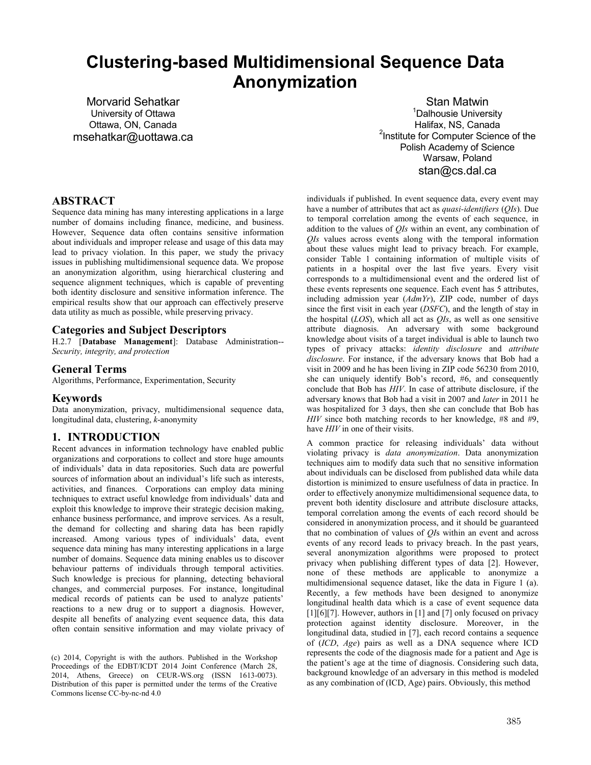# **Clustering-based Multidimensional Sequence Data Anonymization**

Morvarid Sehatkar University of Ottawa Ottawa, ON, Canada msehatkar@uottawa.ca

Stan Matwin <sup>1</sup>Dalhousie University Halifax, NS, Canada <sup>2</sup>Institute for Computer Science of the Polish Academy of Science Warsaw, Poland stan@cs.dal.ca

# **ABSTRACT**

Sequence data mining has many interesting applications in a large number of domains including finance, medicine, and business. However, Sequence data often contains sensitive information about individuals and improper release and usage of this data may lead to privacy violation. In this paper, we study the privacy issues in publishing multidimensional sequence data. We propose an anonymization algorithm, using hierarchical clustering and sequence alignment techniques, which is capable of preventing both identity disclosure and sensitive information inference. The empirical results show that our approach can effectively preserve data utility as much as possible, while preserving privacy.

# **Categories and Subject Descriptors**

H.2.7 [**Database Management**]: Database Administration-- *Security, integrity, and protection*

#### **General Terms**

Algorithms, Performance, Experimentation, Security

## **Keywords**

Data anonymization, privacy, multidimensional sequence data, longitudinal data, clustering, *k*-anonymity

# **1. INTRODUCTION**

Recent advances in information technology have enabled public organizations and corporations to collect and store huge amounts of individuals' data in data repositories. Such data are powerful sources of information about an individual's life such as interests, activities, and finances. Corporations can employ data mining techniques to extract useful knowledge from individuals' data and exploit this knowledge to improve their strategic decision making, enhance business performance, and improve services. As a result, the demand for collecting and sharing data has been rapidly increased. Among various types of individuals' data, event sequence data mining has many interesting applications in a large number of domains. Sequence data mining enables us to discover behaviour patterns of individuals through temporal activities. Such knowledge is precious for planning, detecting behavioral changes, and commercial purposes. For instance, longitudinal medical records of patients can be used to analyze patients' reactions to a new drug or to support a diagnosis. However, despite all benefits of analyzing event sequence data, this data often contain sensitive information and may violate privacy of

individuals if published. In event sequence data, every event may have a number of attributes that act as *quasi-identifiers* (*QIs*). Due to temporal correlation among the events of each sequence, in addition to the values of *QIs* within an event, any combination of *QIs* values across events along with the temporal information about these values might lead to privacy breach. For example, consider Table 1 containing information of multiple visits of patients in a hospital over the last five years. Every visit corresponds to a multidimensional event and the ordered list of these events represents one sequence. Each event has 5 attributes, including admission year (*AdmYr*), ZIP code, number of days since the first visit in each year (*DSFC*), and the length of stay in the hospital (*LOS*), which all act as *QIs*, as well as one sensitive attribute diagnosis. An adversary with some background knowledge about visits of a target individual is able to launch two types of privacy attacks: *identity disclosure* and *attribute disclosure*. For instance, if the adversary knows that Bob had a visit in 2009 and he has been living in ZIP code 56230 from 2010, she can uniquely identify Bob's record, #6, and consequently conclude that Bob has *HIV*. In case of attribute disclosure, if the adversary knows that Bob had a visit in 2007 and *later* in 2011 he was hospitalized for 3 days, then she can conclude that Bob has *HIV* since both matching records to her knowledge, #8 and #9, have *HIV* in one of their visits.

A common practice for releasing individuals' data without violating privacy is *data anonymization*. Data anonymization techniques aim to modify data such that no sensitive information about individuals can be disclosed from published data while data distortion is minimized to ensure usefulness of data in practice. In order to effectively anonymize multidimensional sequence data, to prevent both identity disclosure and attribute disclosure attacks, temporal correlation among the events of each record should be considered in anonymization process, and it should be guaranteed that no combination of values of *QI*s within an event and across events of any record leads to privacy breach. In the past years, several anonymization algorithms were proposed to protect privacy when publishing different types of data [2]. However, none of these methods are applicable to anonymize a multidimensional sequence dataset, like the data in Figure 1 (a). Recently, a few methods have been designed to anonymize longitudinal health data which is a case of event sequence data [1][6][7]. However, authors in [1] and [7] only focused on privacy protection against identity disclosure. Moreover, in the longitudinal data, studied in [7], each record contains a sequence of (*ICD*, *Age*) pairs as well as a DNA sequence where ICD represents the code of the diagnosis made for a patient and Age is the patient's age at the time of diagnosis. Considering such data, background knowledge of an adversary in this method is modeled as any combination of (ICD, Age) pairs. Obviously, this method

<sup>(</sup>c) 2014, Copyright is with the authors. Published in the Workshop Proceedings of the EDBT/ICDT 2014 Joint Conference (March 28, 2014, Athens, Greece) on CEUR-WS.org (ISSN 1613-0073). Distribution of this paper is permitted under the terms of the Creative Commons license CC-by-nc-nd 4.0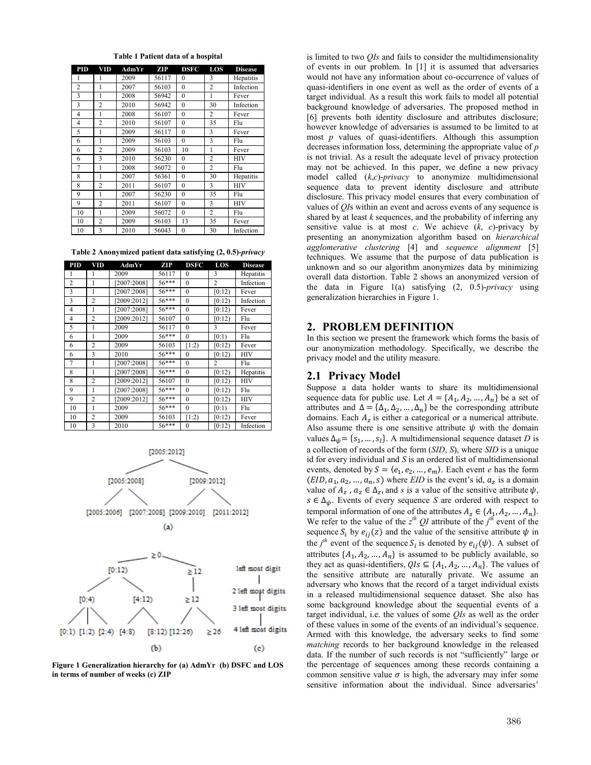| <b>PID</b>     | VID            | AdmYr | ZIP   | <b>DSFC</b>  | LOS            | <b>Disease</b> |
|----------------|----------------|-------|-------|--------------|----------------|----------------|
| 1              | 1              | 2009  | 56117 | $\theta$     | 3              | Hepatitis      |
| $\overline{2}$ | 1              | 2007  | 56103 | $\mathbf{0}$ | $\overline{2}$ | Infection      |
| 3              | 1              | 2008  | 56942 | $\mathbf{0}$ | 1              | Fever          |
| 3              | $\overline{c}$ | 2010  | 56942 | $\mathbf{0}$ | 30             | Infection      |
| 4              | 1              | 2008  | 56107 | $\mathbf{0}$ | 2              | Fever          |
| 4              | $\overline{c}$ | 2010  | 56107 | $\mathbf{0}$ | 35             | Flu            |
| 5              | 1              | 2009  | 56117 | $\mathbf{0}$ | 3              | Fever          |
| 6              | 1              | 2009  | 56103 | $\mathbf{0}$ | 3              | Flu            |
| 6              | $\overline{c}$ | 2009  | 56103 | 10           | $\mathbf{1}$   | Fever          |
| 6              | 3              | 2010  | 56230 | $\mathbf{0}$ | $\overline{c}$ | <b>HIV</b>     |
| 7              | 1              | 2008  | 56072 | $\mathbf{0}$ | 2              | Flu            |
| 8              | 1              | 2007  | 56361 | $\mathbf{0}$ | 30             | Hepatitis      |
| 8              | $\overline{2}$ | 2011  | 56107 | $\mathbf{0}$ | 3              | <b>HIV</b>     |
| 9              | 1              | 2007  | 56230 | $\mathbf{0}$ | 35             | Flu            |
| 9              | $\overline{2}$ | 2011  | 56107 | $\mathbf{0}$ | 3              | <b>HIV</b>     |
| 10             | 1              | 2009  | 56072 | $\mathbf{0}$ | $\overline{c}$ | Flu            |
| 10             | $\overline{c}$ | 2009  | 56103 | 13           | 35             | Fever          |
| 10             | 3              | 2010  | 56043 | $\theta$     | 30             | Infection      |

**Table 1 Patient data of a hospital**

|  | Table 2 Anonymized patient data satisfying (2, 0.5)-privacy |  |  |  |  |
|--|-------------------------------------------------------------|--|--|--|--|
|--|-------------------------------------------------------------|--|--|--|--|

| <b>PID</b>     | VID            | AdmYr       | ZIP     | <b>DSFC</b>  | LOS            | <b>Disease</b> |
|----------------|----------------|-------------|---------|--------------|----------------|----------------|
| 1              | 1              | 2009        | 56117   | $\theta$     | 3              | Hepatitis      |
| $\overline{2}$ | 1              | [2007:2008] | 56***   | $\theta$     | $\overline{c}$ | Infection      |
| 3              | 1              | [2007:2008] | $56***$ | $\mathbf{0}$ | [0:12)         | Fever          |
| 3              | $\overline{2}$ | [2009:2012] | $56***$ | $\theta$     | [0:12)         | Infection      |
| $\overline{4}$ | 1              | [2007:2008] | $56***$ | $\mathbf{0}$ | [0:12)         | Fever          |
| $\overline{4}$ | $\overline{2}$ | [2009:2012] | 56107   | $\theta$     | [0:12)         | Flu            |
| 5              | 1              | 2009        | 56117   | $\theta$     | 3              | Fever          |
| 6              | 1              | 2009        | 56***   | $\theta$     | [0:1)          | Flu            |
| 6              | $\overline{c}$ | 2009        | 56103   | [1:2)        | [0:12)         | Fever          |
| 6              | 3              | 2010        | $56***$ | $\mathbf{0}$ | [0:12)         | <b>HIV</b>     |
| $\overline{7}$ | 1              | [2007:2008] | $56***$ | $\mathbf{0}$ | $\overline{c}$ | Flu            |
| 8              | 1              | [2007:2008] | $56***$ | $\mathbf{0}$ | [0:12)         | Hepatitis      |
| 8              | $\overline{2}$ | [2009:2012] | 56107   | $\mathbf{0}$ | [0:12)         | <b>HIV</b>     |
| 9              | 1              | [2007:2008] | 56***   | $\mathbf{0}$ | [0:12)         | Flu            |
| 9              | $\overline{2}$ | [2009:2012] | $56***$ | $\mathbf{0}$ | [0:12)         | <b>HIV</b>     |
| 10             | 1              | 2009        | $56***$ | $\theta$     | [0:1)          | Flu            |
| 10             | $\overline{2}$ | 2009        | 56103   | [1:2)        | [0:12)         | Fever          |
| 10             | 3              | 2010        | 56***   | $\theta$     | [0:12)         | Infection      |





**Figure 1 Generalization hierarchy for (a) AdmYr (b) DSFC and LOS in terms of number of weeks (c) ZIP**

is limited to two *QIs* and fails to consider the multidimensionality of events in our problem. In [1] it is assumed that adversaries would not have any information about co-occurrence of values of quasi-identifiers in one event as well as the order of events of a target individual. As a result this work fails to model all potential background knowledge of adversaries. The proposed method in [6] prevents both identity disclosure and attributes disclosure; however knowledge of adversaries is assumed to be limited to at most *p* values of quasi-identifiers. Although this assumption decreases information loss, determining the appropriate value of *p* is not trivial. As a result the adequate level of privacy protection may not be achieved. In this paper, we define a new privacy model called (*k*,*c*)-*privacy* to anonymize multidimensional sequence data to prevent identity disclosure and attribute disclosure. This privacy model ensures that every combination of values of *QI*s within an event and across events of any sequence is shared by at least *k* sequences, and the probability of inferring any sensitive value is at most *c*. We achieve  $(k, c)$ -privacy by presenting an anonymization algorithm based on *hierarchical agglomerative clustering* [4] and *sequence alignment* [5] techniques. We assume that the purpose of data publication is unknown and so our algorithm anonymizes data by minimizing overall data distortion. Table 2 shows an anonymized version of the data in Figure 1(a) satisfying (2, 0.5)-*privacy* using generalization hierarchies in Figure 1.

#### **2. PROBLEM DEFINITION**

In this section we present the framework which forms the basis of our anonymization methodology. Specifically, we describe the privacy model and the utility measure.

#### **2.1 Privacy Model**

Suppose a data holder wants to share its multidimensional sequence data for public use. Let  $A = \{A_1, A_2, ..., A_n\}$  be a set of attributes and  $\Delta = {\Delta_1, \Delta_2, ..., \Delta_n}$  be the corresponding attribute domains. Each  $A<sub>z</sub>$  is either a categorical or a numerical attribute. Also assume there is one sensitive attribute  $\psi$  with the domain values  $\Delta_{\psi} = \{s_1, ..., s_l\}$ . A multidimensional sequence dataset *D* is a collection of records of the form (*SID*, *S*), where *SID* is a unique id for every individual and *S* is an ordered list of multidimensional events, denoted by  $S = \langle e_1, e_2, ..., e_m \rangle$ . Each event *e* has the form  $(EID, a<sub>1</sub>, a<sub>2</sub>, ..., a<sub>n</sub>, s)$  where *EID* is the event's id,  $a<sub>z</sub>$  is a domain value of  $A_z$ ,  $a_z \in \Delta_z$ , and *s* is a value of the sensitive attribute  $\psi$ ,  $s \in \Delta_{\psi}$ . Events of every sequence *S* are ordered with respect to temporal information of one of the attributes  $A_z \in \{A_1, A_2, ..., A_n\}$ . We refer to the value of the  $z^{th}$  QI attribute of the  $j^{th}$  event of the sequence  $S_i$  by  $e_{ij}(z)$  and the value of the sensitive attribute  $\psi$  in the *j*<sup>th</sup> event of the sequence  $S_i$  is denoted by  $e_{ij}(\psi)$ . A subset of attributes  $\{A_1, A_2, ..., A_n\}$  is assumed to be publicly available, so they act as quasi-identifiers,  $QIs \subseteq \{A_1, A_2, ..., A_n\}$ . The values of the sensitive attribute are naturally private. We assume an adversary who knows that the record of a target individual exists in a released multidimensional sequence dataset. She also has some background knowledge about the sequential events of a target individual, i.e. the values of some *QIs* as well as the order of these values in some of the events of an individual's sequence. Armed with this knowledge, the adversary seeks to find some *matching* records to her background knowledge in the released data. If the number of such records is not "sufficiently" large or the percentage of sequences among these records containing a common sensitive value  $\sigma$  is high, the adversary may infer some sensitive information about the individual. Since adversaries'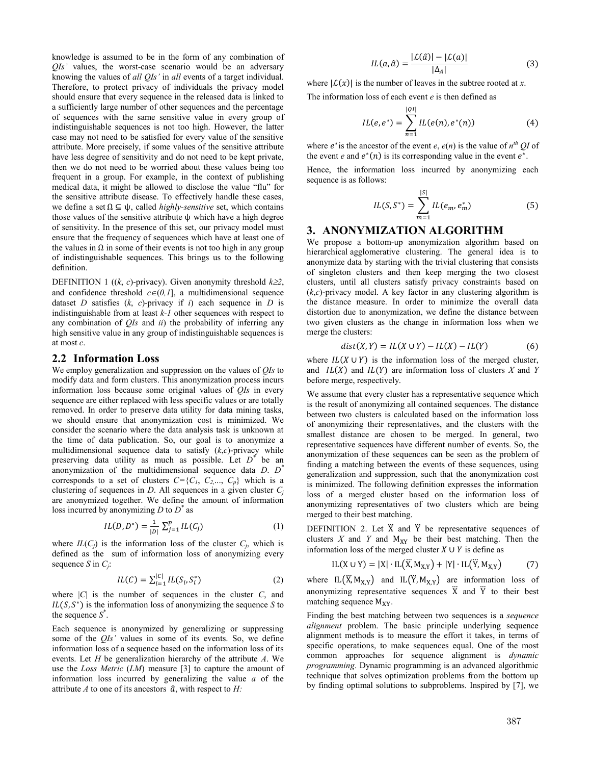knowledge is assumed to be in the form of any combination of *QIs'* values, the worst-case scenario would be an adversary knowing the values of *all QIs'* in *all* events of a target individual. Therefore, to protect privacy of individuals the privacy model should ensure that every sequence in the released data is linked to a sufficiently large number of other sequences and the percentage of sequences with the same sensitive value in every group of indistinguishable sequences is not too high. However, the latter case may not need to be satisfied for every value of the sensitive attribute. More precisely, if some values of the sensitive attribute have less degree of sensitivity and do not need to be kept private, then we do not need to be worried about these values being too frequent in a group. For example, in the context of publishing medical data, it might be allowed to disclose the value "flu" for the sensitive attribute disease. To effectively handle these cases, we define a set  $\Omega \subseteq \psi$ , called *highly-sensitive* set, which contains those values of the sensitive attribute ψ which have a high degree of sensitivity. In the presence of this set, our privacy model must ensure that the frequency of sequences which have at least one of the values in  $\Omega$  in some of their events is not too high in any group of indistinguishable sequences. This brings us to the following definition.

DEFINITION 1 ((*k*, *c*)-privacy). Given anonymity threshold  $k \geq 2$ , and confidence threshold  $c \in (0,1]$ , a multidimensional sequence dataset *D* satisfies  $(k, c)$ -privacy if *i*) each sequence in *D* is indistinguishable from at least *k-1* other sequences with respect to any combination of *QIs* and *ii*) the probability of inferring any high sensitive value in any group of indistinguishable sequences is at most *c*.

#### **2.2 Information Loss**

We employ generalization and suppression on the values of *QIs* to modify data and form clusters. This anonymization process incurs information loss because some original values of *QIs* in every sequence are either replaced with less specific values or are totally removed. In order to preserve data utility for data mining tasks, we should ensure that anonymization cost is minimized. We consider the scenario where the data analysis task is unknown at the time of data publication. So, our goal is to anonymize a multidimensional sequence data to satisfy (*k*,*c*)-privacy while preserving data utility as much as possible. Let *D\** be an anonymization of the multidimensional sequence data *D*. *D\** corresponds to a set of clusters  $C = \{C_1, C_2, \ldots, C_p\}$  which is a clustering of sequences in *D*. All sequences in a given cluster  $C_i$ are anonymized together. We define the amount of information loss incurred by anonymizing *D* to *D\** as

$$
IL(D, D^*) = \frac{1}{|D|} \sum_{j=1}^{p} IL(C_j)
$$
 (1)

where  $IL(C_i)$  is the information loss of the cluster  $C_i$ , which is defined as the sum of information loss of anonymizing every sequence *S* in *Cj*:

$$
IL(C) = \sum_{i=1}^{|C|} IL(S_i, S_i^*)
$$
 (2)

where  $|C|$  is the number of sequences in the cluster  $C$ , and  $IL(S, S^*)$  is the information loss of anonymizing the sequence *S* to the sequence *S*\* .

Each sequence is anonymized by generalizing or suppressing some of the *QIs'* values in some of its events. So, we define information loss of a sequence based on the information loss of its events. Let *H* be generalization hierarchy of the attribute *A*. We use the *Loss Metric* (*LM*) measure [3] to capture the amount of information loss incurred by generalizing the value *a* of the attribute  $A$  to one of its ancestors  $\hat{a}$ , with respect to  $H$ :

$$
IL(a, \hat{a}) = \frac{|L(\hat{a})| - |L(a)|}{|\Delta_A|} \tag{3}
$$

where  $|\mathcal{L}(x)|$  is the number of leaves in the subtree rooted at *x*. The information loss of each event *e* is then defined as

$$
IL(e, e^*) = \sum_{n=1}^{|QI|} IL(e(n), e^*(n))
$$
 (4)

where  $e^*$  is the ancestor of the event  $e$ ,  $e(n)$  is the value of  $n^{th}$  *OI* of the event *e* and  $e^*(n)$  is its corresponding value in the event  $e^*$ .

Hence, the information loss incurred by anonymizing each sequence is as follows:

$$
IL(S, S^*) = \sum_{m=1}^{|S|} IL(e_m, e_m^*)
$$
 (5)

# **3. ANONYMIZATION ALGORITHM**

We propose a bottom-up anonymization algorithm based on hierarchical agglomerative clustering. The general idea is to anonymize data by starting with the trivial clustering that consists of singleton clusters and then keep merging the two closest clusters, until all clusters satisfy privacy constraints based on  $(k, c)$ -privacy model. A key factor in any clustering algorithm is the distance measure. In order to minimize the overall data distortion due to anonymization, we define the distance between two given clusters as the change in information loss when we merge the clusters:

$$
dist(X,Y) = IL(X \cup Y) - IL(X) - IL(Y) \tag{6}
$$

where  $IL(X \cup Y)$  is the information loss of the merged cluster, and  $IL(X)$  and  $IL(Y)$  are information loss of clusters *X* and *Y* before merge, respectively.

We assume that every cluster has a representative sequence which is the result of anonymizing all contained sequences. The distance between two clusters is calculated based on the information loss of anonymizing their representatives, and the clusters with the smallest distance are chosen to be merged. In general, two representative sequences have different number of events. So, the anonymization of these sequences can be seen as the problem of finding a matching between the events of these sequences, using generalization and suppression, such that the anonymization cost is minimized. The following definition expresses the information loss of a merged cluster based on the information loss of anonymizing representatives of two clusters which are being merged to their best matching.

DEFINITION 2. Let  $\ddot{X}$  and  $\ddot{Y}$  be representative sequences of clusters  $X$  and  $Y$  and  $M_{XY}$  be their best matching. Then the information loss of the merged cluster  $X \cup Y$  is define as

$$
IL(X \cup Y) = |X| \cdot IL(\ddot{X}, M_{X,Y}) + |Y| \cdot IL(\dddot{Y}, M_{X,Y})
$$
(7)

where IL $(X, M_{X,Y})$  and IL $(Y, M_{X,Y})$  are information loss of anonymizing representative sequences  $\ddot{X}$  and  $\ddot{Y}$  to their best matching sequence  $M_{XY}$ .

Finding the best matching between two sequences is a *sequence alignment* problem. The basic principle underlying sequence alignment methods is to measure the effort it takes, in terms of specific operations, to make sequences equal. One of the most common approaches for sequence alignment is *dynamic programming*. Dynamic programming is an advanced algorithmic technique that solves optimization problems from the bottom up by finding optimal solutions to subproblems. Inspired by [7], we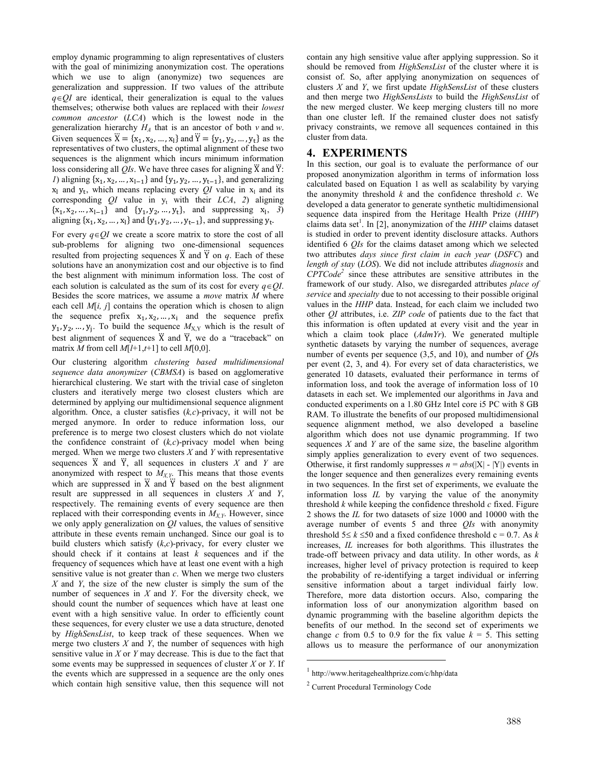employ dynamic programming to align representatives of clusters with the goal of minimizing anonymization cost. The operations which we use to align (anonymize) two sequences are generalization and suppression. If two values of the attribute  $q \in QI$  are identical, their generalization is equal to the values themselves; otherwise both values are replaced with their *lowest common ancestor* (*LCA*) which is the lowest node in the generalization hierarchy  $H_A$  that is an ancestor of both  $v$  and  $w$ . Given sequences  $\ddot{X} = \{x_1, x_2, ..., x_l\}$  and  $\ddot{Y} = \{y_1, y_2, ..., y_t\}$  as the representatives of two clusters, the optimal alignment of these two sequences is the alignment which incurs minimum information loss considering all  $QIs$ . We have three cases for aligning  $\ddot{X}$  and  $\ddot{Y}$ : *1*) aligning  $\{x_1, x_2, ..., x_{l-1}\}\$  and  $\{y_1, y_2, ..., y_{t-1}\}\$ , and generalizing  $x_1$  and  $y_t$ , which means replacing every *QI* value in  $x_1$  and its corresponding  $QI$  value in  $y_t$  with their  $LCA$ , 2) aligning  ${x_1, x_2, ..., x_{l-1}}$  and  ${y_1, y_2, ..., y_t}$ , and suppressing  $x_l$ , 3) aligning  $\{x_1, x_2, ..., x_l\}$  and  $\{y_1, y_2, ..., y_{t-1}\}$ , and suppressing  $y_t$ .

For every  $q \in QI$  we create a score matrix to store the cost of all sub-problems for aligning two one-dimensional sequences resulted from projecting sequences  $\ddot{X}$  and  $\ddot{Y}$  on  $q$ . Each of these solutions have an anonymization cost and our objective is to find the best alignment with minimum information loss. The cost of each solution is calculated as the sum of its cost for every  $q \in OI$ . Besides the score matrices, we assume a *move* matrix *M* where each cell *M*[*i, j*] contains the operation which is chosen to align the sequence prefix  $x_1, x_2, ..., x_i$  and the sequence prefix  $y_1, y_2, ..., y_j$ . To build the sequence  $M_{X,Y}$  which is the result of best alignment of sequences  $\ddot{X}$  and  $\ddot{Y}$ , we do a "traceback" on matrix *M* from cell  $M[l+1,t+1]$  to cell  $M[0,0]$ .

Our clustering algorithm *clustering based multidimensional sequence data anonymizer* (*CBMSA*) is based on agglomerative hierarchical clustering. We start with the trivial case of singleton clusters and iteratively merge two closest clusters which are determined by applying our multidimensional sequence alignment algorithm. Once, a cluster satisfies (*k,c*)-privacy, it will not be merged anymore. In order to reduce information loss, our preference is to merge two closest clusters which do not violate the confidence constraint of (*k,c*)-privacy model when being merged. When we merge two clusters *X* and *Y* with representative sequences  $\ddot{X}$  and  $\ddot{Y}$ , all sequences in clusters  $X$  and  $Y$  are anonymized with respect to  $M_{X,Y}$ . This means that those events which are suppressed in X and Y based on the best alignment result are suppressed in all sequences in clusters *X* and *Y*, respectively. The remaining events of every sequence are then replaced with their corresponding events in  $M_{XY}$ . However, since we only apply generalization on *QI* values, the values of sensitive attribute in these events remain unchanged. Since our goal is to build clusters which satisfy (*k*,*c*)-privacy, for every cluster we should check if it contains at least *k* sequences and if the frequency of sequences which have at least one event with a high sensitive value is not greater than *c*. When we merge two clusters *X* and *Y*, the size of the new cluster is simply the sum of the number of sequences in *X* and *Y*. For the diversity check, we should count the number of sequences which have at least one event with a high sensitive value. In order to efficiently count these sequences, for every cluster we use a data structure, denoted by *HighSensList*, to keep track of these sequences. When we merge two clusters *X* and *Y*, the number of sequences with high sensitive value in *X* or *Y* may decrease. This is due to the fact that some events may be suppressed in sequences of cluster *X* or *Y*. If the events which are suppressed in a sequence are the only ones which contain high sensitive value, then this sequence will not

contain any high sensitive value after applying suppression. So it should be removed from *HighSensList* of the cluster where it is consist of. So, after applying anonymization on sequences of clusters *X* and *Y*, we first update *HighSensList* of these clusters and then merge two *HighSensLists* to build the *HighSensList* of the new merged cluster. We keep merging clusters till no more than one cluster left. If the remained cluster does not satisfy privacy constraints, we remove all sequences contained in this cluster from data.

# **4. EXPERIMENTS**

In this section, our goal is to evaluate the performance of our proposed anonymization algorithm in terms of information loss calculated based on Equation 1 as well as scalability by varying the anonymity threshold *k* and the confidence threshold *c*. We developed a data generator to generate synthetic multidimensional sequence data inspired from the Heritage Health Prize (*HHP*) claims data set<sup>1</sup>. In [2], anonymization of the  $HHP$  claims dataset is studied in order to prevent identity disclosure attacks. Authors identified 6 *QIs* for the claims dataset among which we selected two attributes *days since first claim in each year* (*DSFC*) and *length of stay* (*LOS*). We did not include attributes *diagnosis* and *CPTCode2* since these attributes are sensitive attributes in the framework of our study. Also, we disregarded attributes *place of service* and *specialty* due to not accessing to their possible original values in the *HHP* data. Instead, for each claim we included two other *QI* attributes, i.e. *ZIP code* of patients due to the fact that this information is often updated at every visit and the year in which a claim took place (*AdmYr*). We generated multiple synthetic datasets by varying the number of sequences, average number of events per sequence (3,5, and 10), and number of *QI*s per event (2, 3, and 4). For every set of data characteristics, we generated 10 datasets, evaluated their performance in terms of information loss, and took the average of information loss of 10 datasets in each set. We implemented our algorithms in Java and conducted experiments on a 1.80 GHz Intel core i5 PC with 8 GB RAM. To illustrate the benefits of our proposed multidimensional sequence alignment method, we also developed a baseline algorithm which does not use dynamic programming. If two sequences *X* and *Y* are of the same size, the baseline algorithm simply applies generalization to every event of two sequences. Otherwise, it first randomly suppresses  $n = abs(|X| - |Y|)$  events in the longer sequence and then generalizes every remaining events in two sequences. In the first set of experiments, we evaluate the information loss *IL* by varying the value of the anonymity threshold *k* while keeping the confidence threshold *c* fixed. Figure 2 shows the *IL* for two datasets of size 1000 and 10000 with the average number of events 5 and three *QIs* with anonymity threshold  $5 \le k \le 50$  and a fixed confidence threshold c = 0.7. As *k* increases, *IL* increases for both algorithms. This illustrates the trade-off between privacy and data utility. In other words, as *k* increases, higher level of privacy protection is required to keep the probability of re-identifying a target individual or inferring sensitive information about a target individual fairly low. Therefore, more data distortion occurs. Also, comparing the information loss of our anonymization algorithm based on dynamic programming with the baseline algorithm depicts the benefits of our method. In the second set of experiments we change *c* from 0.5 to 0.9 for the fix value  $k = 5$ . This setting allows us to measure the performance of our anonymization

 $\overline{a}$ 

<sup>1</sup> http://www.heritagehealthprize.com/c/hhp/data

<sup>2</sup> Current Procedural Terminology Code